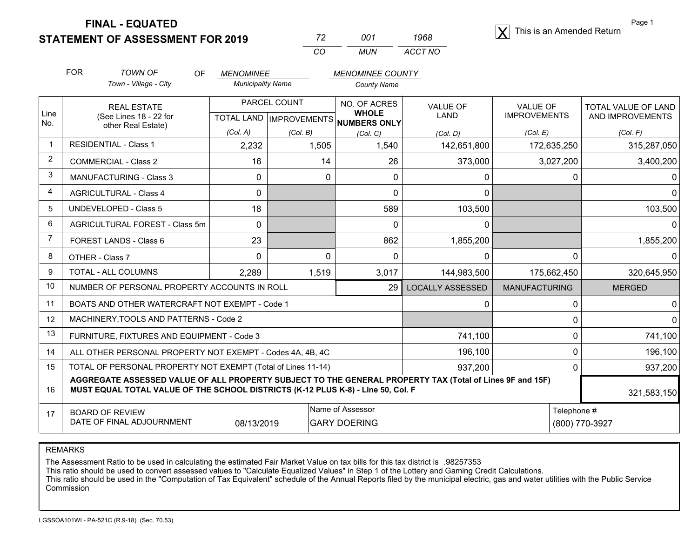**FINAL - EQUATED**

**STATEMENT OF ASSESSMENT FOR 2019**  X

| 72. | 001 | 1968    |
|-----|-----|---------|
| CO  | MUN | ACCT NO |

 $|\mathbf{Y}|$  This is an Amended Return

(800) 770-3927

Page 1

|                 | <b>FOR</b>                                                                                                                                                                                   | <b>TOWN OF</b><br><b>OF</b>                               | <b>MENOMINEE</b>         |                                           | <b>MENOMINEE COUNTY</b>      |                         |                                        |                                                |
|-----------------|----------------------------------------------------------------------------------------------------------------------------------------------------------------------------------------------|-----------------------------------------------------------|--------------------------|-------------------------------------------|------------------------------|-------------------------|----------------------------------------|------------------------------------------------|
|                 |                                                                                                                                                                                              | Town - Village - City                                     | <b>Municipality Name</b> |                                           | <b>County Name</b>           |                         |                                        |                                                |
| Line            | <b>REAL ESTATE</b><br>(See Lines 18 - 22 for<br>other Real Estate)                                                                                                                           |                                                           |                          | PARCEL COUNT<br>TOTAL LAND   IMPROVEMENTS | NO. OF ACRES<br><b>WHOLE</b> | <b>VALUE OF</b><br>LAND | <b>VALUE OF</b><br><b>IMPROVEMENTS</b> | <b>TOTAL VALUE OF LAND</b><br>AND IMPROVEMENTS |
| No.             |                                                                                                                                                                                              |                                                           | (Col. A)                 | (Col. B)                                  | NUMBERS ONLY<br>(Col, C)     | (Col, D)                | (Col, E)                               | (Col. F)                                       |
| $\mathbf{1}$    |                                                                                                                                                                                              | <b>RESIDENTIAL - Class 1</b>                              | 2,232                    | 1,505                                     | 1,540                        | 142,651,800             | 172,635,250                            | 315,287,050                                    |
| $\overline{2}$  |                                                                                                                                                                                              | <b>COMMERCIAL - Class 2</b>                               | 16                       | 14                                        | 26                           | 373,000                 | 3,027,200                              | 3,400,200                                      |
| 3               |                                                                                                                                                                                              | MANUFACTURING - Class 3                                   | 0                        | 0                                         | $\Omega$                     | 0                       | 0                                      |                                                |
| $\overline{4}$  |                                                                                                                                                                                              | <b>AGRICULTURAL - Class 4</b>                             | 0                        |                                           | 0                            | 0                       |                                        |                                                |
| 5               |                                                                                                                                                                                              | <b>UNDEVELOPED - Class 5</b>                              | 18                       |                                           | 589                          | 103,500                 |                                        | 103,500                                        |
| 6               |                                                                                                                                                                                              | AGRICULTURAL FOREST - Class 5m                            | $\Omega$                 |                                           | $\Omega$                     | 0                       |                                        |                                                |
| $\overline{7}$  |                                                                                                                                                                                              | FOREST LANDS - Class 6                                    | 23                       |                                           | 862                          | 1,855,200               |                                        | 1,855,200                                      |
| 8               |                                                                                                                                                                                              | OTHER - Class 7                                           | 0                        | $\Omega$                                  | 0                            | 0                       | 0                                      |                                                |
| 9               |                                                                                                                                                                                              | TOTAL - ALL COLUMNS                                       | 2,289                    | 1,519                                     | 3,017                        | 144,983,500             | 175,662,450                            | 320,645,950                                    |
| 10 <sup>°</sup> |                                                                                                                                                                                              | NUMBER OF PERSONAL PROPERTY ACCOUNTS IN ROLL              |                          |                                           | 29                           | <b>LOCALLY ASSESSED</b> | <b>MANUFACTURING</b>                   | <b>MERGED</b>                                  |
| 11              |                                                                                                                                                                                              | BOATS AND OTHER WATERCRAFT NOT EXEMPT - Code 1            |                          |                                           |                              | $\Omega$                | 0                                      |                                                |
| 12              |                                                                                                                                                                                              | MACHINERY, TOOLS AND PATTERNS - Code 2                    |                          |                                           |                              |                         | 0                                      |                                                |
| 13              |                                                                                                                                                                                              | FURNITURE, FIXTURES AND EQUIPMENT - Code 3                |                          |                                           |                              | 741,100                 | 0                                      | 741,100                                        |
| 14              |                                                                                                                                                                                              | ALL OTHER PERSONAL PROPERTY NOT EXEMPT - Codes 4A, 4B, 4C |                          |                                           | 196,100                      | 0                       | 196,100                                |                                                |
| 15              | TOTAL OF PERSONAL PROPERTY NOT EXEMPT (Total of Lines 11-14)                                                                                                                                 |                                                           |                          |                                           | 937,200                      | 0                       | 937,200                                |                                                |
| 16              | AGGREGATE ASSESSED VALUE OF ALL PROPERTY SUBJECT TO THE GENERAL PROPERTY TAX (Total of Lines 9F and 15F)<br>MUST EQUAL TOTAL VALUE OF THE SCHOOL DISTRICTS (K-12 PLUS K-8) - Line 50, Col. F |                                                           |                          |                                           |                              |                         | 321,583,150                            |                                                |
| 17              | Name of Assessor<br><b>BOARD OF REVIEW</b>                                                                                                                                                   |                                                           |                          |                                           |                              |                         | Telephone #                            |                                                |

REMARKS

The Assessment Ratio to be used in calculating the estimated Fair Market Value on tax bills for this tax district is .98257353

08/13/2019

This ratio should be used to convert assessed values to "Calculate Equalized Values" in Step 1 of the Lottery and Gaming Credit Calculations.<br>This ratio should be used in the "Computation of Tax Equivalent" schedule of the Commission

GARY DOERING

DATE OF FINAL ADJOURNMENT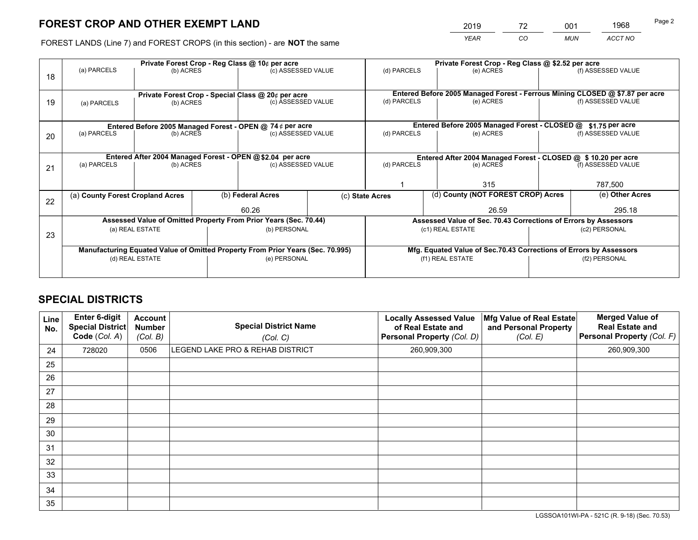# **FOREST CROP AND OTHER EXEMPT LAND**

|   | 2019        | 70<br>- | 001        | 1968    |  |
|---|-------------|---------|------------|---------|--|
| е | <b>YEAR</b> | CО      | <b>MUN</b> | ACCT NO |  |

FOREST LANDS (Line 7) and FOREST CROPS (in this section) - are **NOT** the same

|    | Private Forest Crop - Reg Class @ 10¢ per acre                                 |                                                           |                  |                                                                  |                                                                    | Private Forest Crop - Reg Class @ \$2.52 per acre                            |                                                                 |                    |                    |
|----|--------------------------------------------------------------------------------|-----------------------------------------------------------|------------------|------------------------------------------------------------------|--------------------------------------------------------------------|------------------------------------------------------------------------------|-----------------------------------------------------------------|--------------------|--------------------|
|    | (a) PARCELS                                                                    | (b) ACRES                                                 |                  | (c) ASSESSED VALUE                                               |                                                                    | (d) PARCELS                                                                  | (e) ACRES                                                       |                    | (f) ASSESSED VALUE |
| 18 |                                                                                |                                                           |                  |                                                                  |                                                                    |                                                                              |                                                                 |                    |                    |
|    |                                                                                |                                                           |                  |                                                                  |                                                                    |                                                                              |                                                                 |                    |                    |
|    |                                                                                |                                                           |                  | Private Forest Crop - Special Class @ 20¢ per acre               |                                                                    | Entered Before 2005 Managed Forest - Ferrous Mining CLOSED @ \$7.87 per acre |                                                                 |                    | (f) ASSESSED VALUE |
| 19 | (a) PARCELS                                                                    | (b) ACRES                                                 |                  | (c) ASSESSED VALUE                                               |                                                                    | (d) PARCELS<br>(e) ACRES                                                     |                                                                 |                    |                    |
|    |                                                                                |                                                           |                  |                                                                  |                                                                    |                                                                              |                                                                 |                    |                    |
|    |                                                                                |                                                           |                  | Entered Before 2005 Managed Forest - OPEN @ 74 ¢ per acre        |                                                                    |                                                                              | Entered Before 2005 Managed Forest - CLOSED @                   |                    | \$1.75 per acre    |
| 20 | (a) PARCELS                                                                    | (b) ACRES                                                 |                  | (c) ASSESSED VALUE                                               |                                                                    | (d) PARCELS                                                                  | (e) ACRES                                                       |                    | (f) ASSESSED VALUE |
|    |                                                                                |                                                           |                  |                                                                  |                                                                    |                                                                              |                                                                 |                    |                    |
|    |                                                                                |                                                           |                  |                                                                  |                                                                    |                                                                              |                                                                 |                    |                    |
|    |                                                                                | Entered After 2004 Managed Forest - OPEN @\$2.04 per acre |                  |                                                                  |                                                                    | Entered After 2004 Managed Forest - CLOSED @ \$ 10.20 per acre               |                                                                 |                    |                    |
| 21 | (a) PARCELS                                                                    | (b) ACRES                                                 |                  | (c) ASSESSED VALUE                                               |                                                                    | (d) PARCELS<br>(e) ACRES                                                     |                                                                 | (f) ASSESSED VALUE |                    |
|    |                                                                                |                                                           |                  |                                                                  |                                                                    |                                                                              |                                                                 |                    |                    |
|    |                                                                                |                                                           |                  |                                                                  |                                                                    | 315                                                                          |                                                                 |                    | 787,500            |
|    | (a) County Forest Cropland Acres                                               |                                                           |                  | (b) Federal Acres                                                |                                                                    | (c) State Acres                                                              | (d) County (NOT FOREST CROP) Acres                              |                    | (e) Other Acres    |
| 22 |                                                                                |                                                           |                  |                                                                  |                                                                    |                                                                              |                                                                 |                    |                    |
|    |                                                                                |                                                           |                  | 60.26                                                            |                                                                    |                                                                              | 26.59                                                           |                    | 295.18             |
|    |                                                                                |                                                           |                  | Assessed Value of Omitted Property From Prior Years (Sec. 70.44) |                                                                    |                                                                              | Assessed Value of Sec. 70.43 Corrections of Errors by Assessors |                    |                    |
|    |                                                                                | (b) PERSONAL<br>(a) REAL ESTATE                           |                  |                                                                  | (c1) REAL ESTATE                                                   |                                                                              | (c2) PERSONAL                                                   |                    |                    |
| 23 |                                                                                |                                                           |                  |                                                                  |                                                                    |                                                                              |                                                                 |                    |                    |
|    | Manufacturing Equated Value of Omitted Property From Prior Years (Sec. 70.995) |                                                           |                  |                                                                  | Mfg. Equated Value of Sec.70.43 Corrections of Errors by Assessors |                                                                              |                                                                 |                    |                    |
|    | (d) REAL ESTATE<br>(e) PERSONAL                                                |                                                           | (f1) REAL ESTATE |                                                                  |                                                                    | (f2) PERSONAL                                                                |                                                                 |                    |                    |
|    |                                                                                |                                                           |                  |                                                                  |                                                                    |                                                                              |                                                                 |                    |                    |
|    |                                                                                |                                                           |                  |                                                                  |                                                                    |                                                                              |                                                                 |                    |                    |

## **SPECIAL DISTRICTS**

| Line<br>No. | Enter 6-digit<br><b>Special District</b><br>Code (Col. A) | <b>Account</b><br><b>Number</b><br>(Col. B) | <b>Special District Name</b><br>(Col. C) | <b>Locally Assessed Value</b><br>of Real Estate and<br>Personal Property (Col. D) | Mfg Value of Real Estate<br>and Personal Property<br>(Col. E) | <b>Merged Value of</b><br><b>Real Estate and</b><br>Personal Property (Col. F) |
|-------------|-----------------------------------------------------------|---------------------------------------------|------------------------------------------|-----------------------------------------------------------------------------------|---------------------------------------------------------------|--------------------------------------------------------------------------------|
| 24          | 728020                                                    | 0506                                        | LEGEND LAKE PRO & REHAB DISTRICT         | 260,909,300                                                                       |                                                               | 260,909,300                                                                    |
| 25          |                                                           |                                             |                                          |                                                                                   |                                                               |                                                                                |
| 26          |                                                           |                                             |                                          |                                                                                   |                                                               |                                                                                |
| 27          |                                                           |                                             |                                          |                                                                                   |                                                               |                                                                                |
| 28          |                                                           |                                             |                                          |                                                                                   |                                                               |                                                                                |
| 29          |                                                           |                                             |                                          |                                                                                   |                                                               |                                                                                |
| 30          |                                                           |                                             |                                          |                                                                                   |                                                               |                                                                                |
| 31          |                                                           |                                             |                                          |                                                                                   |                                                               |                                                                                |
| 32          |                                                           |                                             |                                          |                                                                                   |                                                               |                                                                                |
| 33          |                                                           |                                             |                                          |                                                                                   |                                                               |                                                                                |
| 34          |                                                           |                                             |                                          |                                                                                   |                                                               |                                                                                |
| 35          |                                                           |                                             |                                          |                                                                                   |                                                               |                                                                                |

LGSSOA101WI-PA - 521C (R. 9-18) (Sec. 70.53)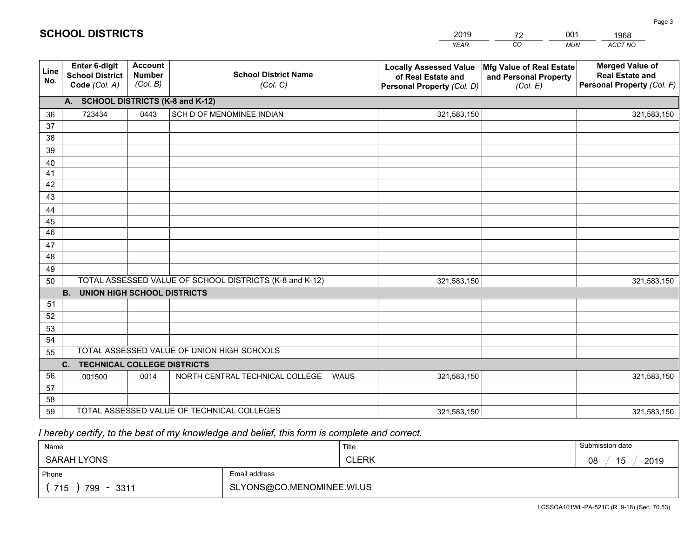|             |                                                          |                                             |                                                         | <b>YEAR</b>                                                                       | CO<br><b>MUN</b>                                              | ACCT NO                                                                        |
|-------------|----------------------------------------------------------|---------------------------------------------|---------------------------------------------------------|-----------------------------------------------------------------------------------|---------------------------------------------------------------|--------------------------------------------------------------------------------|
| Line<br>No. | Enter 6-digit<br><b>School District</b><br>Code (Col. A) | <b>Account</b><br><b>Number</b><br>(Col. B) | <b>School District Name</b><br>(Col. C)                 | <b>Locally Assessed Value</b><br>of Real Estate and<br>Personal Property (Col. D) | Mfg Value of Real Estate<br>and Personal Property<br>(Col. E) | <b>Merged Value of</b><br><b>Real Estate and</b><br>Personal Property (Col. F) |
|             | A. SCHOOL DISTRICTS (K-8 and K-12)                       |                                             |                                                         |                                                                                   |                                                               |                                                                                |
| 36          | 723434                                                   | 0443                                        | SCH D OF MENOMINEE INDIAN                               | 321,583,150                                                                       |                                                               | 321,583,150                                                                    |
| 37          |                                                          |                                             |                                                         |                                                                                   |                                                               |                                                                                |
| 38          |                                                          |                                             |                                                         |                                                                                   |                                                               |                                                                                |
| 39          |                                                          |                                             |                                                         |                                                                                   |                                                               |                                                                                |
| 40          |                                                          |                                             |                                                         |                                                                                   |                                                               |                                                                                |
| 41          |                                                          |                                             |                                                         |                                                                                   |                                                               |                                                                                |
| 42          |                                                          |                                             |                                                         |                                                                                   |                                                               |                                                                                |
| 43          |                                                          |                                             |                                                         |                                                                                   |                                                               |                                                                                |
| 44<br>45    |                                                          |                                             |                                                         |                                                                                   |                                                               |                                                                                |
| 46          |                                                          |                                             |                                                         |                                                                                   |                                                               |                                                                                |
| 47          |                                                          |                                             |                                                         |                                                                                   |                                                               |                                                                                |
| 48          |                                                          |                                             |                                                         |                                                                                   |                                                               |                                                                                |
| 49          |                                                          |                                             |                                                         |                                                                                   |                                                               |                                                                                |
| 50          |                                                          |                                             | TOTAL ASSESSED VALUE OF SCHOOL DISTRICTS (K-8 and K-12) | 321,583,150                                                                       |                                                               | 321,583,150                                                                    |
|             | <b>B.</b><br><b>UNION HIGH SCHOOL DISTRICTS</b>          |                                             |                                                         |                                                                                   |                                                               |                                                                                |
| 51          |                                                          |                                             |                                                         |                                                                                   |                                                               |                                                                                |
| 52          |                                                          |                                             |                                                         |                                                                                   |                                                               |                                                                                |
| 53          |                                                          |                                             |                                                         |                                                                                   |                                                               |                                                                                |
| 54          |                                                          |                                             |                                                         |                                                                                   |                                                               |                                                                                |
| 55          | TOTAL ASSESSED VALUE OF UNION HIGH SCHOOLS               |                                             |                                                         |                                                                                   |                                                               |                                                                                |
|             | C. TECHNICAL COLLEGE DISTRICTS                           |                                             |                                                         |                                                                                   |                                                               |                                                                                |
| 56          | 001500                                                   | 0014                                        | NORTH CENTRAL TECHNICAL COLLEGE<br><b>WAUS</b>          | 321,583,150                                                                       |                                                               | 321,583,150                                                                    |
| 57<br>58    |                                                          |                                             |                                                         |                                                                                   |                                                               |                                                                                |
| 59          |                                                          |                                             | TOTAL ASSESSED VALUE OF TECHNICAL COLLEGES              | 321,583,150                                                                       |                                                               | 321,583,150                                                                    |
|             |                                                          |                                             |                                                         |                                                                                   |                                                               |                                                                                |

2019

72

001

## *I hereby certify, to the best of my knowledge and belief, this form is complete and correct.*

**SCHOOL DISTRICTS**

| Name                   |                           | Title        | Submission date  |
|------------------------|---------------------------|--------------|------------------|
| SARAH LYONS            |                           | <b>CLERK</b> | 15<br>2019<br>08 |
| Email address<br>Phone |                           |              |                  |
| 715<br>799 - 3311      | SLYONS@CO.MENOMINEE.WI.US |              |                  |

1968